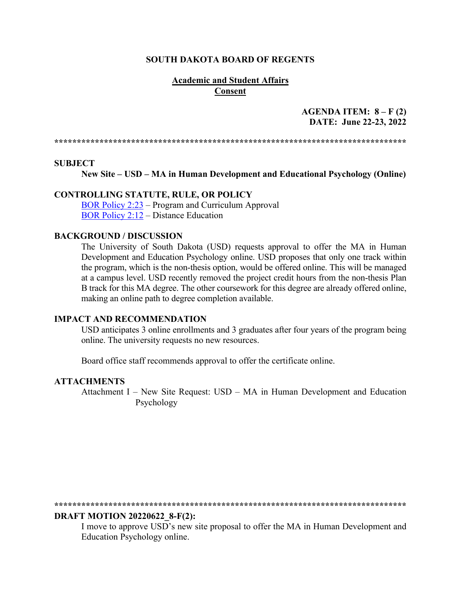#### **SOUTH DAKOTA BOARD OF REGENTS**

### **Academic and Student Affairs Consent**

# AGENDA ITEM:  $8 - F(2)$ DATE: June 22-23, 2022

#### **SUBJECT**

New Site – USD – MA in Human Development and Educational Psychology (Online)

## **CONTROLLING STATUTE, RULE, OR POLICY**

BOR Policy 2:23 – Program and Curriculum Approval **BOR Policy 2:12 – Distance Education** 

#### **BACKGROUND / DISCUSSION**

The University of South Dakota (USD) requests approval to offer the MA in Human Development and Education Psychology online. USD proposes that only one track within the program, which is the non-thesis option, would be offered online. This will be managed at a campus level. USD recently removed the project credit hours from the non-thesis Plan B track for this MA degree. The other coursework for this degree are already offered online, making an online path to degree completion available.

#### **IMPACT AND RECOMMENDATION**

USD anticipates 3 online enrollments and 3 graduates after four years of the program being online. The university requests no new resources.

Board office staff recommends approval to offer the certificate online.

#### **ATTACHMENTS**

Attachment I – New Site Request: USD – MA in Human Development and Education Psychology

#### 

#### **DRAFT MOTION 20220622 8-F(2):**

I move to approve USD's new site proposal to offer the MA in Human Development and Education Psychology online.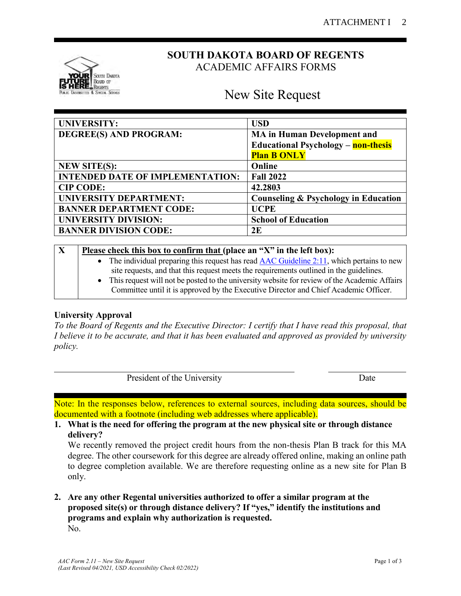

# **SOUTH DAKOTA BOARD OF REGENTS** ACADEMIC AFFAIRS FORMS

# New Site Request

| <b>UNIVERSITY:</b>                      | <b>USD</b>                                 |  |  |  |
|-----------------------------------------|--------------------------------------------|--|--|--|
| DEGREE(S) AND PROGRAM:                  | <b>MA</b> in Human Development and         |  |  |  |
|                                         | <b>Educational Psychology - non-thesis</b> |  |  |  |
|                                         | <b>Plan B ONLY</b>                         |  |  |  |
| <b>NEW SITE(S):</b>                     | Online                                     |  |  |  |
| <b>INTENDED DATE OF IMPLEMENTATION:</b> | <b>Fall 2022</b>                           |  |  |  |
| <b>CIP CODE:</b>                        | 42.2803                                    |  |  |  |
| <b>UNIVERSITY DEPARTMENT:</b>           | Counseling & Psychology in Education       |  |  |  |
| <b>BANNER DEPARTMENT CODE:</b>          | <b>UCPE</b>                                |  |  |  |
| <b>UNIVERSITY DIVISION:</b>             | <b>School of Education</b>                 |  |  |  |
| <b>BANNER DIVISION CODE:</b>            | 2E                                         |  |  |  |

| X | Please check this box to confirm that (place an " $X$ " in the left box):                                                                                                              |  |  |  |  |  |
|---|----------------------------------------------------------------------------------------------------------------------------------------------------------------------------------------|--|--|--|--|--|
|   | • The individual preparing this request has read $\angle$ AAC Guideline 2:11, which pertains to new                                                                                    |  |  |  |  |  |
|   | site requests, and that this request meets the requirements outlined in the guidelines.                                                                                                |  |  |  |  |  |
|   | • This request will not be posted to the university website for review of the Academic Affairs<br>Committee until it is approved by the Executive Director and Chief Academic Officer. |  |  |  |  |  |

# **University Approval**

*To the Board of Regents and the Executive Director: I certify that I have read this proposal, that I believe it to be accurate, and that it has been evaluated and approved as provided by university policy.*

President of the University Date

Note: In the responses below, references to external sources, including data sources, should be documented with a footnote (including web addresses where applicable).

**1. What is the need for offering the program at the new physical site or through distance delivery?**

We recently removed the project credit hours from the non-thesis Plan B track for this MA degree. The other coursework for this degree are already offered online, making an online path to degree completion available. We are therefore requesting online as a new site for Plan B only.

**2. Are any other Regental universities authorized to offer a similar program at the proposed site(s) or through distance delivery? If "yes," identify the institutions and programs and explain why authorization is requested.** No.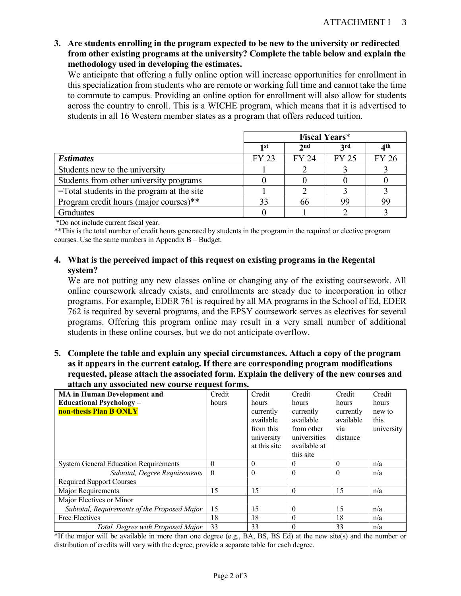**3. Are students enrolling in the program expected to be new to the university or redirected from other existing programs at the university? Complete the table below and explain the methodology used in developing the estimates.** 

We anticipate that offering a fully online option will increase opportunities for enrollment in this specialization from students who are remote or working full time and cannot take the time to commute to campus. Providing an online option for enrollment will also allow for students across the country to enroll. This is a WICHE program, which means that it is advertised to students in all 16 Western member states as a program that offers reduced tuition.

|                                               | <b>Fiscal Years*</b> |                 |              |                 |  |
|-----------------------------------------------|----------------------|-----------------|--------------|-----------------|--|
|                                               | 1 st                 | 2 <sub>nd</sub> | <b>2rd</b>   | 4 <sup>th</sup> |  |
| <b>Estimates</b>                              | FY 23                | FY 24           | <b>FY 25</b> | <b>FY 26</b>    |  |
| Students new to the university                |                      |                 |              |                 |  |
| Students from other university programs       |                      |                 |              |                 |  |
| $=$ Total students in the program at the site |                      |                 |              |                 |  |
| Program credit hours (major courses)**        | 33                   | 66              | 99           | 99              |  |
| Graduates                                     |                      |                 |              |                 |  |

\*Do not include current fiscal year.

\*\*This is the total number of credit hours generated by students in the program in the required or elective program courses. Use the same numbers in Appendix B – Budget.

# **4. What is the perceived impact of this request on existing programs in the Regental system?**

We are not putting any new classes online or changing any of the existing coursework. All online coursework already exists, and enrollments are steady due to incorporation in other programs. For example, EDER 761 is required by all MA programs in the School of Ed, EDER 762 is required by several programs, and the EPSY coursework serves as electives for several programs. Offering this program online may result in a very small number of additional students in these online courses, but we do not anticipate overflow.

**5. Complete the table and explain any special circumstances. Attach a copy of the program as it appears in the current catalog. If there are corresponding program modifications requested, please attach the associated form. Explain the delivery of the new courses and attach any associated new course request forms.**

| <b>MA</b> in Human Development and           | Credit       | Credit       | Credit       | Credit           | Credit     |
|----------------------------------------------|--------------|--------------|--------------|------------------|------------|
| <b>Educational Psychology -</b>              | hours        | hours        | hours        | hours            | hours      |
| non-thesis Plan B ONLY                       |              | currently    | currently    | currently        | new to     |
|                                              |              | available    | available    | available        | this       |
|                                              |              | from this    | from other   | V <sub>1</sub> a | university |
|                                              |              | university   | universities | distance         |            |
|                                              |              | at this site | available at |                  |            |
|                                              |              |              | this site    |                  |            |
| <b>System General Education Requirements</b> | $\theta$     | 0            | $\theta$     | $\theta$         | n/a        |
| Subtotal, Degree Requirements                | $\mathbf{0}$ | $\theta$     | $\theta$     | $\theta$         | n/a        |
| <b>Required Support Courses</b>              |              |              |              |                  |            |
| Major Requirements                           | 15           | 15           | $\theta$     | 15               | n/a        |
| Major Electives or Minor                     |              |              |              |                  |            |
| Subtotal, Requirements of the Proposed Major | 15           | 15           | $\theta$     | 15               | n/a        |
| Free Electives                               | 18           | 18           | $\theta$     | 18               | n/a        |
| Total, Degree with Proposed Major            | 33           | 33           | $\theta$     | 33               | n/a        |

\*If the major will be available in more than one degree (e.g., BA, BS, BS Ed) at the new site(s) and the number or distribution of credits will vary with the degree, provide a separate table for each degree.